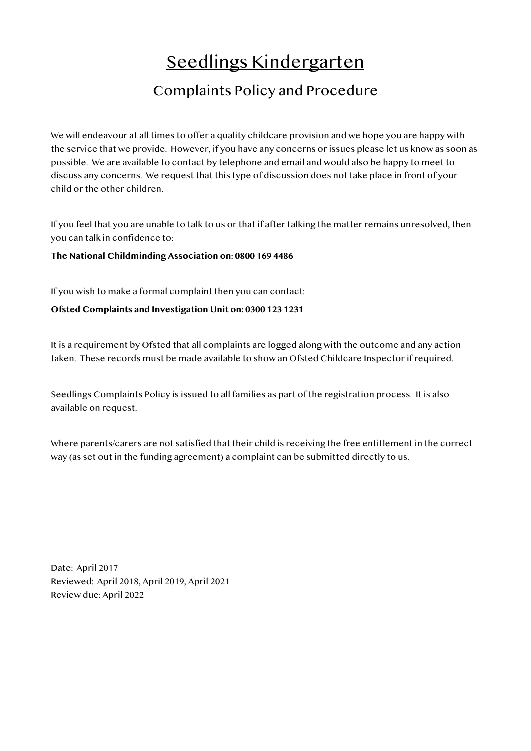## Seedlings Kindergarten

## Complaints Policy and Procedure

We will endeavour at all times to offer a quality childcare provision and we hope you are happy with the service that we provide. However, if you have any concerns or issues please let us know as soon as possible. We are available to contact by telephone and email and would also be happy to meet to discuss any concerns. We request that this type of discussion does not take place in front of your child or the other children.

If you feel that you are unable to talk to us or that if after talking the matter remains unresolved, then you can talk in confidence to:

**The National Childminding Association on: 0800 169 4486**

If you wish to make a formal complaint then you can contact:

**Ofsted Complaints and Investigation Unit on: 0300 123 1231**

It is a requirement by Ofsted that all complaints are logged along with the outcome and any action taken. These records must be made available to show an Ofsted Childcare Inspector if required.

Seedlings Complaints Policy is issued to all families as part of the registration process. It is also available on request.

Where parents/carers are not satisfied that their child is receiving the free entitlement in the correct way (as set out in the funding agreement) a complaint can be submitted directly to us.

Date: April 2017 Reviewed: April 2018, April 2019, April 2021 Review due: April 2022